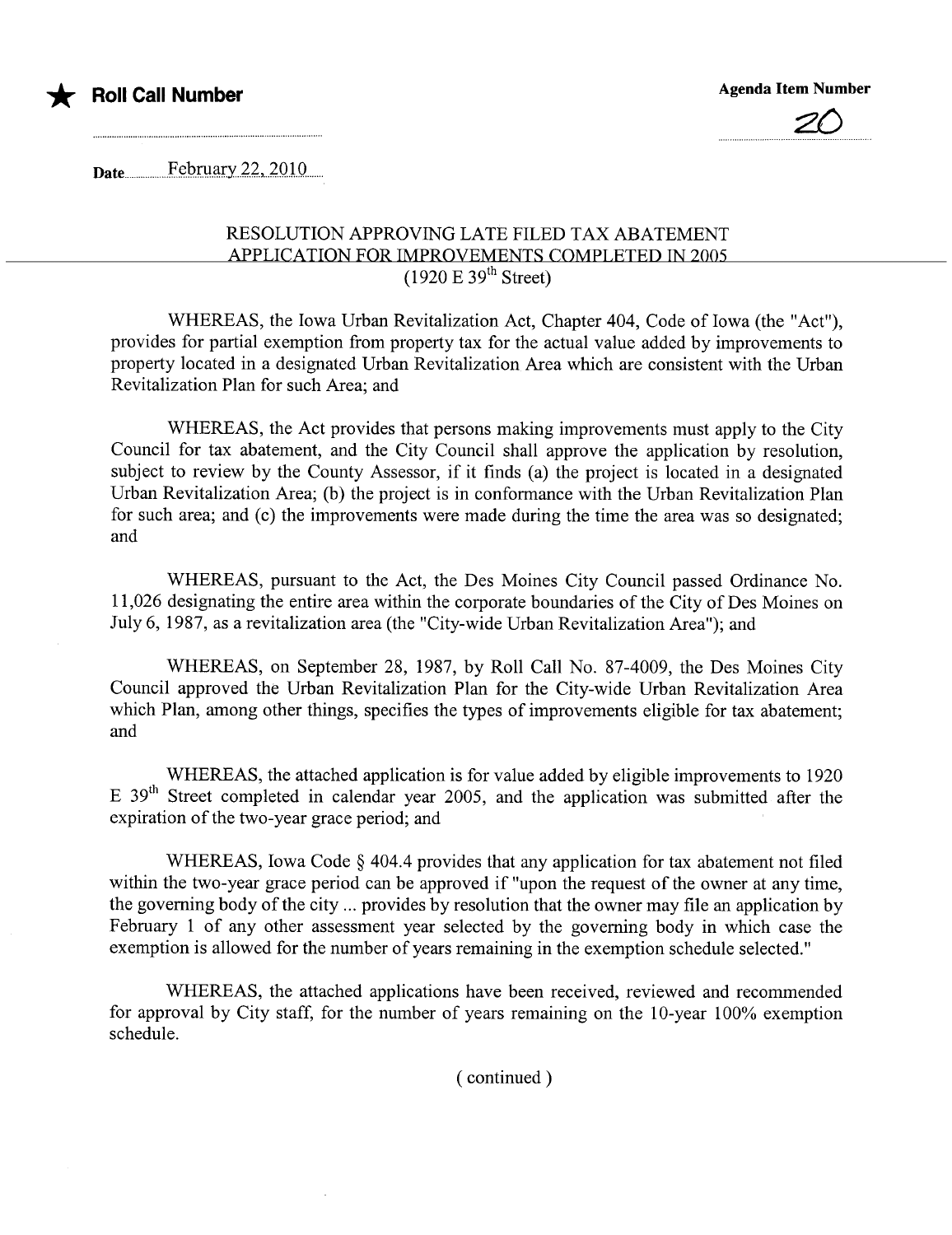



 $\textbf{Date}$  February 22, 2010

## RESOLUTION APPROVING LATE FILED TAX ABATEMENT APPLICATION FOR IMPROVEMENTS COMPLETED IN 2005  $(1920 \text{ E } 39^{\text{th}} \text{ Street})$

WHEREAS, the Iowa Urban Revitalization Act, Chapter 404, Code of Iowa (the "Act"), provides for partial exemption from property tax for the actual value added by improvements to property located in a designated Urban Revitalization Area which are consistent with the Urban Revitalization Plan for such Area; and

WHEREAS, the Act provides that persons making improvements must apply to the City Council for tax abatement, and the City Council shall approve the application by resolution, subject to review by the County Assessor, if it finds (a) the project is located in a designated Urban Revitalization Area; (b) the project is in conformance with the Urban Revitalization Plan for such area; and (c) the improvements were made during the time the area was so designated; and

WHEREAS, pursuant to the Act, the Des Moines City Council passed Ordinance No. 11,026 designating the entire area within the corporate boundaries of the City of Des Moines on July 6, 1987, as a revitalization area (the "City-wide Urban Revitalization Area"); and

WHEREAS, on September 28, 1987, by Roll Call No. 87-4009, the Des Moines City Council approved the Urban Revitalization Plan for the City-wide Urban Revitalization Area which Plan, among other things, specifies the types of improvements eligible for tax abatement; and

WHEREAS, the attached application is for value added by eligible improvements to 1920 E 39<sup>th</sup> Street completed in calendar year 2005, and the application was submitted after the expiration of the two-year grace period; and

WHEREAS, Iowa Code § 404.4 provides that any application for tax abatement not filed within the two-year grace period can be approved if "upon the request of the owner at any time, the governing body of the city... provides by resolution that the owner may file an application by February 1 of any other assessment year selected by the governing body in which case the exemption is allowed for the number of years remaining in the exemption schedule selected."

WHEREAS, the attached applications have been received, reviewed and recommended for approval by City staff, for the number of years remaining on the 10-year 100% exemption schedule.

( continued)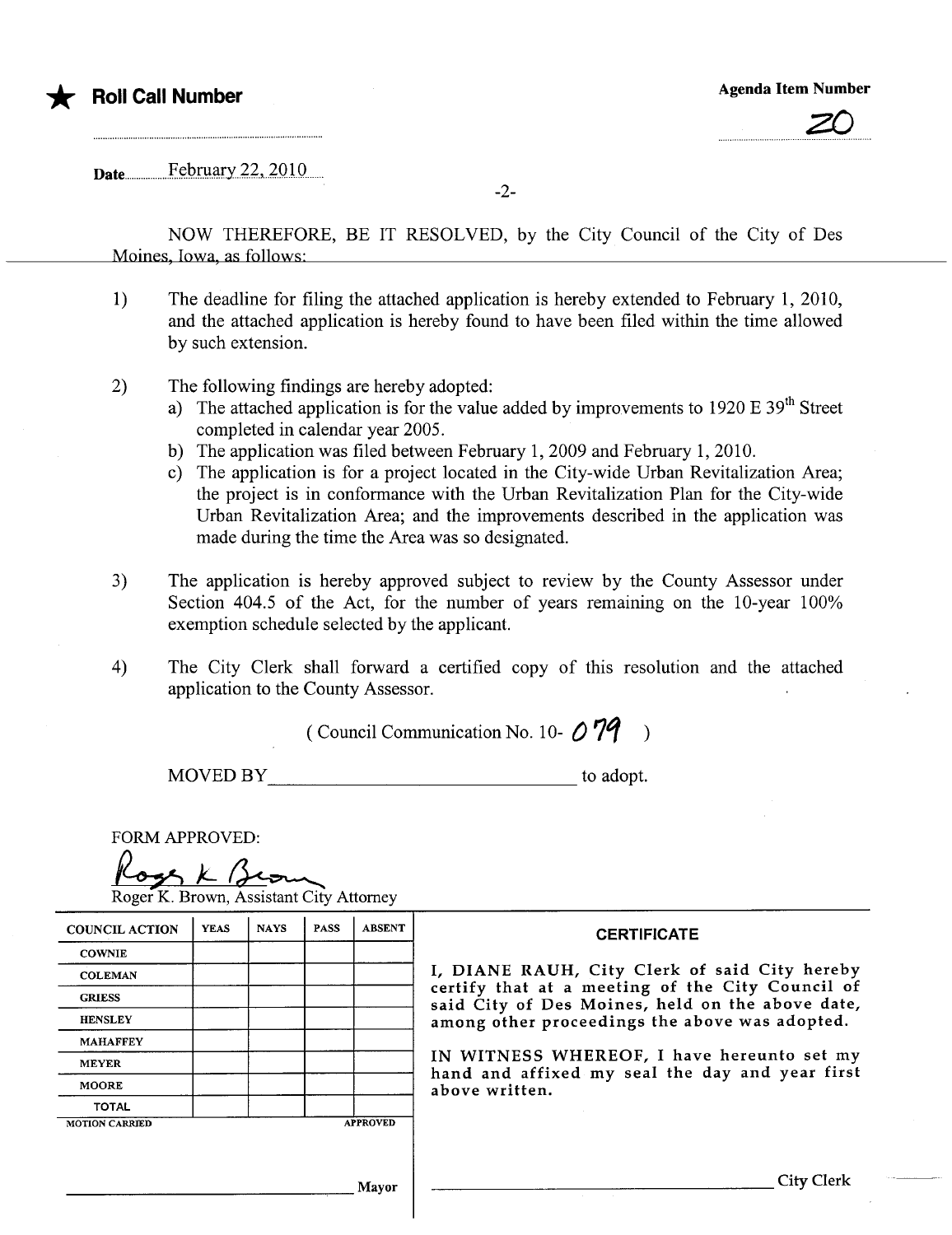

## \* Roll Call Number Agenda Item Number Agenda Item Number



Date...................F.ç.lJ..maiy.4.4.,...4.010.......

-2-

NOW THEREFORE, BE IT RESOLVED, by the City Council of the City of Des Moines, Iowa, as follows'

- 1) The deadline for filing the attached application is hereby extended to February 1, 2010, and the attached application is hereby found to have been fied within the time allowed by such extension.
- 2) The following findings are hereby adopted:
	- a) The attached application is for the value added by improvements to 1920 E  $39<sup>th</sup>$  Street completed in calendar year 2005.
	- b) The application was filed between February 1,2009 and February 1,2010.
	- c) The application is for a project located in the City-wide Urban Revitalization Area; the project is in conformance with the Urban Revitalization Plan for the City-wide Urban Revitalization Area; and the improvements described in the application was made during the time the Area was so designated.
- 3) The application is hereby approved subject to review by the County Assessor under Section 404.5 of the Act, for the number of years remaining on the 10-year 100% exemption schedule selected by the applicant.
- 4) The City Clerk shall forward a certified copy of this resolution and the attached application to the County Assessor.

( Council Communication No. 10- $\bigcirc$  79

MOVED BY to adopt.

| <b>FORM APPROVED:</b><br>Roger K. Brown, Assistant City Attorney |             |             |             |                                                                   |                                                                                                      |  |  |  |
|------------------------------------------------------------------|-------------|-------------|-------------|-------------------------------------------------------------------|------------------------------------------------------------------------------------------------------|--|--|--|
| <b>COUNCIL ACTION</b>                                            | <b>YEAS</b> | <b>NAYS</b> | <b>PASS</b> | <b>ABSENT</b>                                                     | <b>CERTIFICATE</b>                                                                                   |  |  |  |
| <b>COWNIE</b>                                                    |             |             |             |                                                                   |                                                                                                      |  |  |  |
| <b>COLEMAN</b>                                                   |             |             |             |                                                                   | I, DIANE RAUH, City Clerk of said City hereby                                                        |  |  |  |
| <b>GRIESS</b>                                                    |             |             |             |                                                                   | certify that at a meeting of the City Council of<br>said City of Des Moines, held on the above date, |  |  |  |
| <b>HENSLEY</b>                                                   |             |             |             | among other proceedings the above was adopted.                    |                                                                                                      |  |  |  |
| <b>MAHAFFEY</b>                                                  |             |             |             |                                                                   |                                                                                                      |  |  |  |
| <b>MEYER</b>                                                     |             |             |             |                                                                   | IN WITNESS WHEREOF, I have hereunto set my                                                           |  |  |  |
| <b>MOORE</b>                                                     |             |             |             | hand and affixed my seal the day and year first<br>above written. |                                                                                                      |  |  |  |
| <b>TOTAL</b>                                                     |             |             |             |                                                                   |                                                                                                      |  |  |  |
| <b>MOTION CARRIED</b>                                            |             |             |             | <b>APPROVED</b>                                                   |                                                                                                      |  |  |  |
|                                                                  |             |             |             | Mayor                                                             | <b>City Clerk</b>                                                                                    |  |  |  |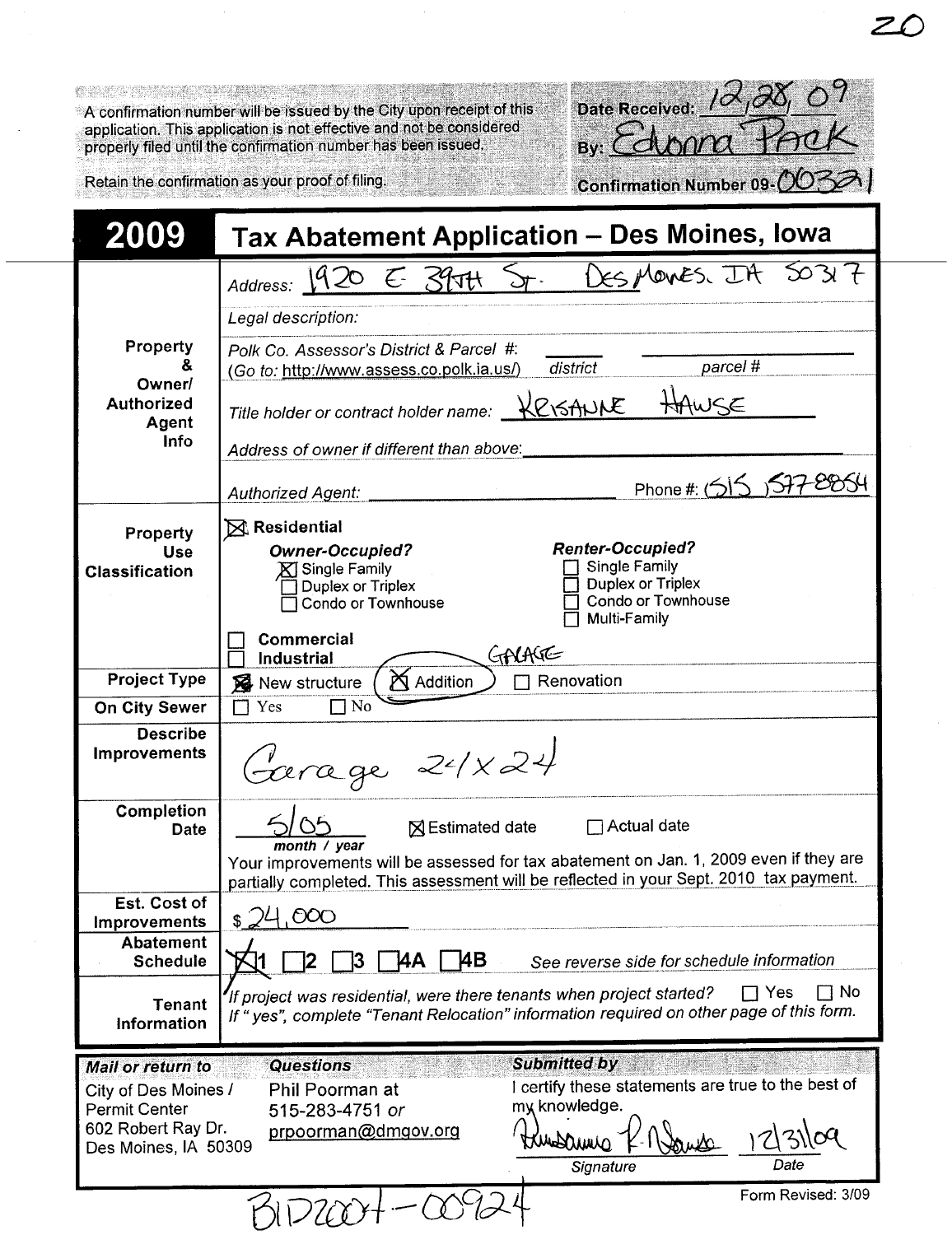A confirmation number will be issued by the City upon receipt of this application. This application is not effective and not be considered properly filed until the confirmation number has been issued.

| 104,08007<br>Date Received:  |  |
|------------------------------|--|
| By: Edona Pack               |  |
|                              |  |
| Confirmation Number 09-00321 |  |

Retain the confirmation as your proof of filing.

| 2009                                                                                                                   | Tax Abatement Application - Des Moines, Iowa                                                                                                                                                                                     |  |  |  |  |  |  |
|------------------------------------------------------------------------------------------------------------------------|----------------------------------------------------------------------------------------------------------------------------------------------------------------------------------------------------------------------------------|--|--|--|--|--|--|
|                                                                                                                        | 50317<br>Address: 1920 E 3907t ST. DES MOVES. IA                                                                                                                                                                                 |  |  |  |  |  |  |
|                                                                                                                        | Legal description:                                                                                                                                                                                                               |  |  |  |  |  |  |
| Property<br>ᄮ<br>Owner                                                                                                 | Polk Co. Assessor's District & Parcel #:<br>parcel #<br>district<br>(Go to: http://www.assess.co.polk.ia.us/)                                                                                                                    |  |  |  |  |  |  |
| <b>Authorized</b><br>Agent                                                                                             | Title holder or contract holder name: KOSANNE<br>WSE                                                                                                                                                                             |  |  |  |  |  |  |
| <b>Info</b>                                                                                                            | Address of owner if different than above:                                                                                                                                                                                        |  |  |  |  |  |  |
|                                                                                                                        | Phone #: (515 ) 577-8854<br><b>Authorized Agent:</b>                                                                                                                                                                             |  |  |  |  |  |  |
| Property<br><b>Use</b><br><b>Classification</b>                                                                        | $\boxtimes$ Residential<br><b>Renter-Occupied?</b><br><b>Owner-Occupied?</b><br>Single Family<br>$\mathbb X$ Single Family<br>Duplex or Triplex<br>Duplex or Triplex<br>Condo or Townhouse<br>Condo or Townhouse<br>Multi-Family |  |  |  |  |  |  |
|                                                                                                                        | Commercial<br>GALAGE<br>Industrial                                                                                                                                                                                               |  |  |  |  |  |  |
| <b>Project Type</b>                                                                                                    | Addition<br>Renovation<br>New structure                                                                                                                                                                                          |  |  |  |  |  |  |
| <b>On City Sewer</b>                                                                                                   | N <sub>0</sub><br>Yes<br>$\blacksquare$                                                                                                                                                                                          |  |  |  |  |  |  |
| <b>Describe</b><br><b>Improvements</b>                                                                                 | Garage 24×24                                                                                                                                                                                                                     |  |  |  |  |  |  |
| Completion<br>Date                                                                                                     | ⊠ Estimated date <sub>△</sub> Actual date<br>month / $year$                                                                                                                                                                      |  |  |  |  |  |  |
|                                                                                                                        | Your improvements will be assessed for tax abatement on Jan. 1, 2009 even if they are<br>partially completed. This assessment will be reflected in your Sept. 2010 tax payment.                                                  |  |  |  |  |  |  |
| Est. Cost of<br><b>Improvements</b>                                                                                    | 000<br>\$                                                                                                                                                                                                                        |  |  |  |  |  |  |
| <b>Abatement</b><br><b>Schedule</b>                                                                                    | ļ4Β<br><b>ΆΑ</b><br>13.<br>See reverse side for schedule information                                                                                                                                                             |  |  |  |  |  |  |
| <b>Tenant</b><br>Information                                                                                           | No T<br>ヿ Yes<br>If project was residential, were there tenants when project started?<br>If "yes", complete "Tenant Relocation" information required on other page of this form.                                                 |  |  |  |  |  |  |
| <b>Mail or return to</b><br>City of Des Moines /<br><b>Permit Center</b><br>602 Robert Ray Dr.<br>Des Moines, IA 50309 | <b>Submitted by</b><br><b>Questions</b><br>I certify these statements are true to the best of<br>Phil Poorman at<br>my knowledge.<br>515-283-4751 or<br>prpoorman@dmgov.org<br>3109<br>Washmura<br>Signature<br>Date             |  |  |  |  |  |  |
|                                                                                                                        | Form Revised: 3/09                                                                                                                                                                                                               |  |  |  |  |  |  |